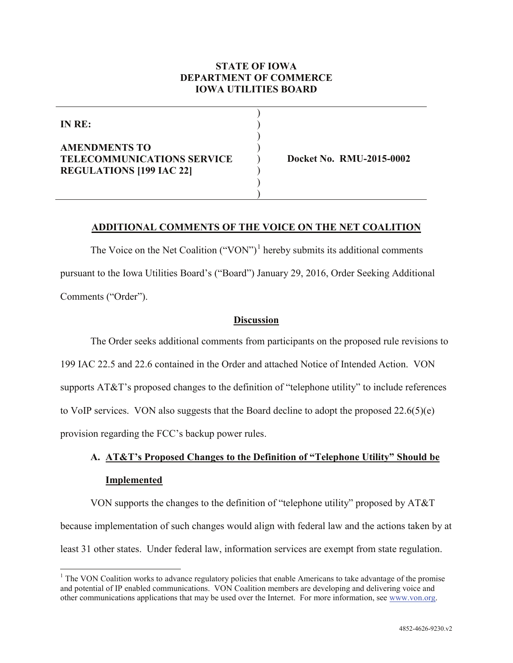### **STATE OF IOWA DEPARTMENT OF COMMERCE IOWA UTILITIES BOARD**

) ) ) )

> ) ) )

**IN RE:**

### **AMENDMENTS TO TELECOMMUNICATIONS SERVICE REGULATIONS [199 IAC 22]**

) **Docket No. RMU-2015-0002**

### **ADDITIONAL COMMENTS OF THE VOICE ON THE NET COALITION**

The Voice on the Net Coalition  $("VON")^1$  $("VON")^1$  hereby submits its additional comments pursuant to the Iowa Utilities Board's ("Board") January 29, 2016, Order Seeking Additional Comments ("Order").

#### **Discussion**

The Order seeks additional comments from participants on the proposed rule revisions to 199 IAC 22.5 and 22.6 contained in the Order and attached Notice of Intended Action. VON supports AT&T's proposed changes to the definition of "telephone utility" to include references to VoIP services. VON also suggests that the Board decline to adopt the proposed 22.6(5)(e) provision regarding the FCC's backup power rules.

# **A. AT&T's Proposed Changes to the Definition of "Telephone Utility" Should be Implemented**

VON supports the changes to the definition of "telephone utility" proposed by AT&T because implementation of such changes would align with federal law and the actions taken by at least 31 other states. Under federal law, information services are exempt from state regulation.

<span id="page-0-0"></span><sup>&</sup>lt;sup>1</sup> The VON Coalition works to advance regulatory policies that enable Americans to take advantage of the promise and potential of IP enabled communications. VON Coalition members are developing and delivering voice and other communications applications that may be used over the Internet. For more information, see [www.von.org.](http://www.von.org/)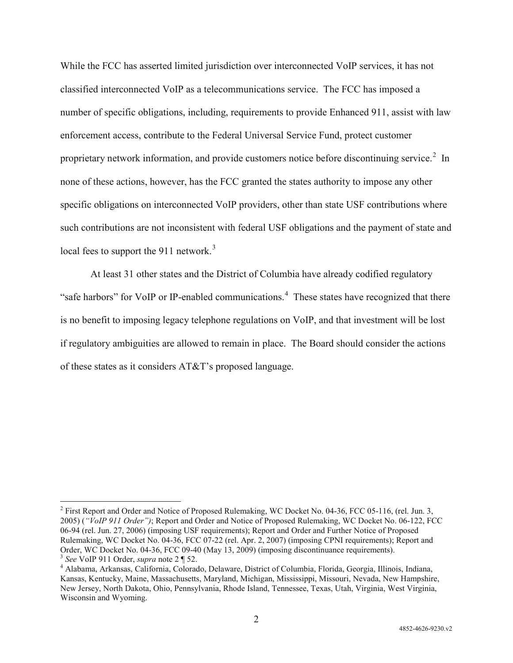While the FCC has asserted limited jurisdiction over interconnected VoIP services, it has not classified interconnected VoIP as a telecommunications service. The FCC has imposed a number of specific obligations, including, requirements to provide Enhanced 911, assist with law enforcement access, contribute to the Federal Universal Service Fund, protect customer proprietary network information, and provide customers notice before discontinuing service.<sup>[2](#page-1-0)</sup> In none of these actions, however, has the FCC granted the states authority to impose any other specific obligations on interconnected VoIP providers, other than state USF contributions where such contributions are not inconsistent with federal USF obligations and the payment of state and local fees to support the 911 network.<sup>[3](#page-1-1)</sup>

At least 31 other states and the District of Columbia have already codified regulatory "safe harbors" for VoIP or IP-enabled communications.<sup>[4](#page-1-2)</sup> These states have recognized that there is no benefit to imposing legacy telephone regulations on VoIP, and that investment will be lost if regulatory ambiguities are allowed to remain in place. The Board should consider the actions of these states as it considers AT&T's proposed language.

<span id="page-1-0"></span><sup>&</sup>lt;sup>2</sup> First Report and Order and Notice of Proposed Rulemaking, WC Docket No. 04-36, FCC 05-116, (rel. Jun. 3, 2005) (*"VoIP 911 Order")*; Report and Order and Notice of Proposed Rulemaking, WC Docket No. 06-122, FCC 06-94 (rel. Jun. 27, 2006) (imposing USF requirements); Report and Order and Further Notice of Proposed Rulemaking, WC Docket No. 04-36, FCC 07-22 (rel. Apr. 2, 2007) (imposing CPNI requirements); Report and Order, WC Docket No. 04-36, FCC 09-40 (May 13, 2009) (imposing discontinuance requirements).

<span id="page-1-2"></span><span id="page-1-1"></span><sup>&</sup>lt;sup>3</sup> See VoIP 911 Order, supra note 2 ¶ 52.<br><sup>4</sup> Alabama, Arkansas, California, Colorado, Delaware, District of Columbia, Florida, Georgia, Illinois, Indiana, Kansas, Kentucky, Maine, Massachusetts, Maryland, Michigan, Mississippi, Missouri, Nevada, New Hampshire, New Jersey, North Dakota, Ohio, Pennsylvania, Rhode Island, Tennessee, Texas, Utah, Virginia, West Virginia, Wisconsin and Wyoming.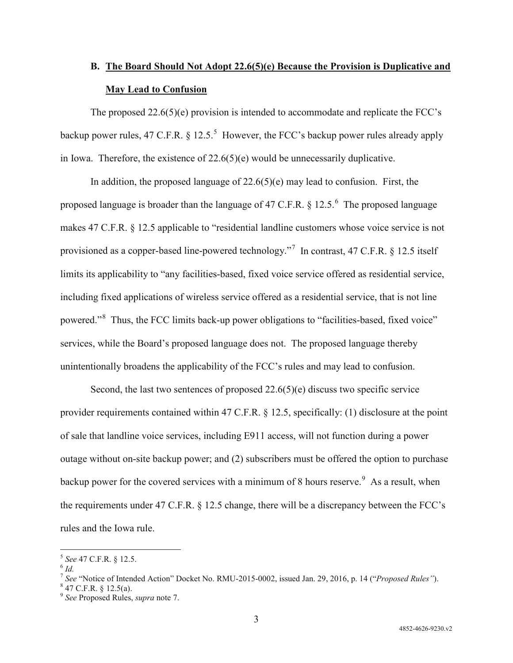## **B. The Board Should Not Adopt 22.6(5)(e) Because the Provision is Duplicative and May Lead to Confusion**

The proposed 22.6(5)(e) provision is intended to accommodate and replicate the FCC's backup power rules, 47 C.F.R.  $\S 12.5$  $\S 12.5$ .<sup>5</sup> However, the FCC's backup power rules already apply in Iowa. Therefore, the existence of 22.6(5)(e) would be unnecessarily duplicative.

In addition, the proposed language of  $22.6(5)(e)$  may lead to confusion. First, the proposed language is broader than the language of 47 C.F.R.  $\S 12.5$ .<sup>[6](#page-2-1)</sup> The proposed language makes 47 C.F.R. § 12.5 applicable to "residential landline customers whose voice service is not provisioned as a copper-based line-powered technology."<sup>[7](#page-2-2)</sup> In contrast, 47 C.F.R. § 12.5 itself limits its applicability to "any facilities-based, fixed voice service offered as residential service, including fixed applications of wireless service offered as a residential service, that is not line powered."<sup>[8](#page-2-3)</sup> Thus, the FCC limits back-up power obligations to "facilities-based, fixed voice" services, while the Board's proposed language does not. The proposed language thereby unintentionally broadens the applicability of the FCC's rules and may lead to confusion.

Second, the last two sentences of proposed 22.6(5)(e) discuss two specific service provider requirements contained within 47 C.F.R. § 12.5, specifically: (1) disclosure at the point of sale that landline voice services, including E911 access, will not function during a power outage without on-site backup power; and (2) subscribers must be offered the option to purchase backup power for the covered services with a minimum of 8 hours reserve.  $\degree$  As a result, when the requirements under 47 C.F.R. § 12.5 change, there will be a discrepancy between the FCC's rules and the Iowa rule.

<span id="page-2-0"></span><sup>5</sup> *See* 47 C.F.R. § 12.5. <sup>6</sup> *Id.*

<span id="page-2-2"></span><span id="page-2-1"></span><sup>7</sup> *See* "Notice of Intended Action" Docket No. RMU-2015-0002, issued Jan. 29, 2016, p. 14 ("*Proposed Rules"*). 8 47 C.F.R. § 12.5(a). <sup>9</sup> *See* Proposed Rules, *supra* note 7.

<span id="page-2-3"></span>

<span id="page-2-4"></span>